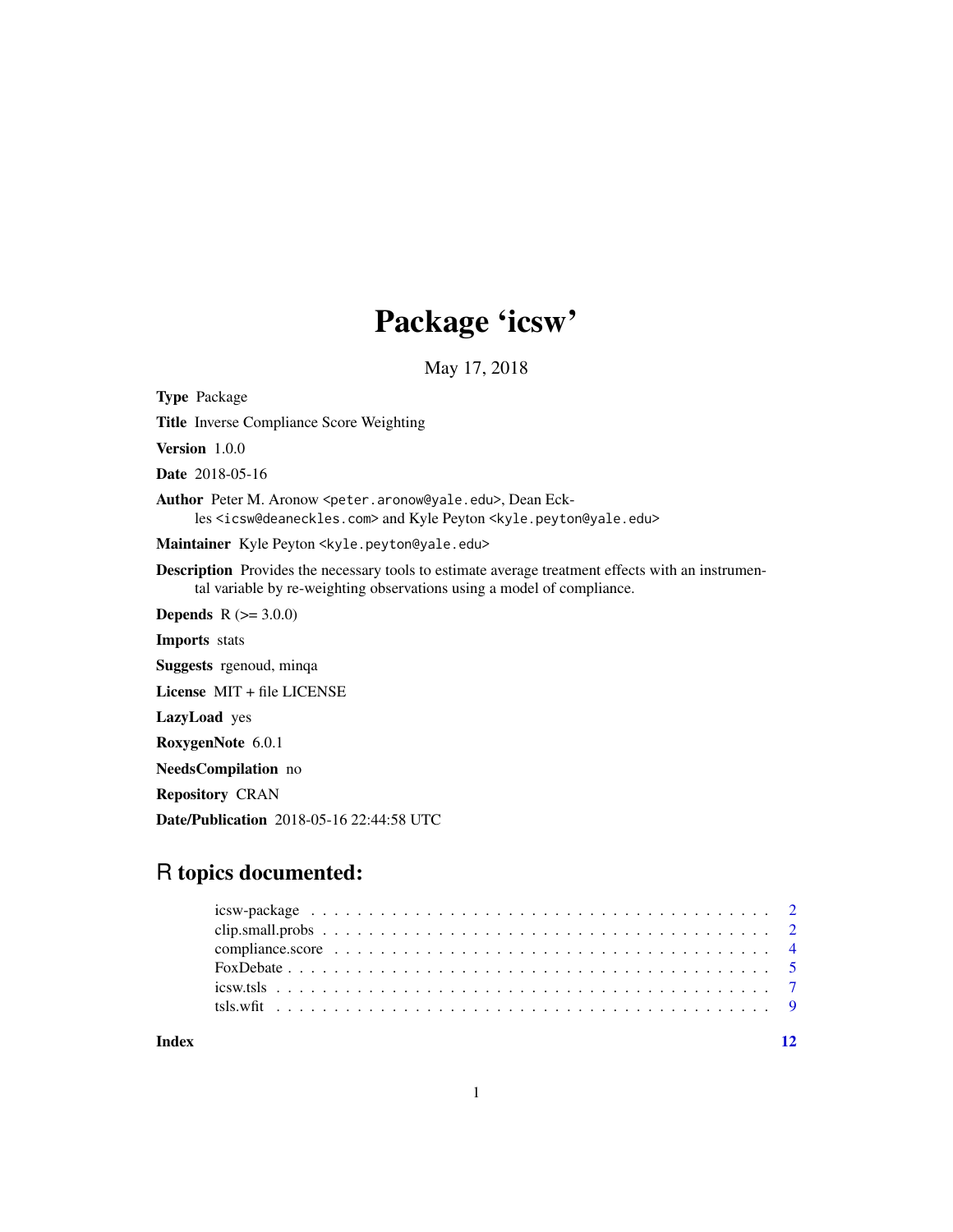## Package 'icsw'

May 17, 2018

<span id="page-0-0"></span>Type Package

Title Inverse Compliance Score Weighting

Version 1.0.0

Date 2018-05-16

Author Peter M. Aronow <peter.aronow@yale.edu>, Dean Eckles <icsw@deaneckles.com> and Kyle Peyton <kyle.peyton@yale.edu>

Maintainer Kyle Peyton <kyle.peyton@yale.edu>

Description Provides the necessary tools to estimate average treatment effects with an instrumental variable by re-weighting observations using a model of compliance.

**Depends** R  $(>= 3.0.0)$ 

Imports stats

Suggests rgenoud, minqa

License MIT + file LICENSE

LazyLoad yes

RoxygenNote 6.0.1

NeedsCompilation no

Repository CRAN

Date/Publication 2018-05-16 22:44:58 UTC

### R topics documented:

**Index** [12](#page-11-0)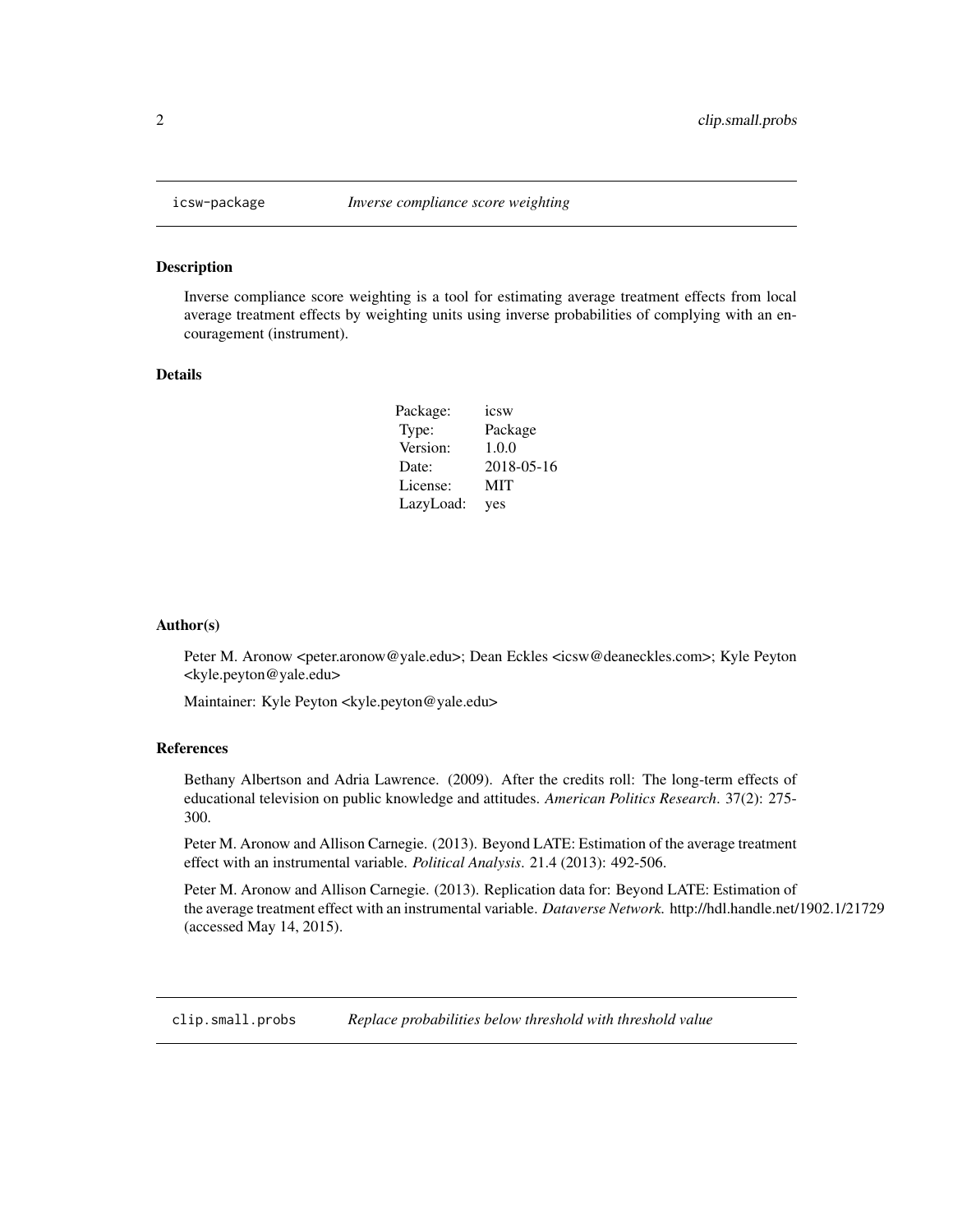<span id="page-1-0"></span>

#### Description

Inverse compliance score weighting is a tool for estimating average treatment effects from local average treatment effects by weighting units using inverse probabilities of complying with an encouragement (instrument).

#### Details

| Package:  | icsw       |
|-----------|------------|
| Type:     | Package    |
| Version:  | 1.0.0      |
| Date:     | 2018-05-16 |
| License:  | MIT        |
| LazyLoad: | yes        |

#### Author(s)

Peter M. Aronow <peter.aronow@yale.edu>; Dean Eckles <icsw@deaneckles.com>; Kyle Peyton <kyle.peyton@yale.edu>

Maintainer: Kyle Peyton <kyle.peyton@yale.edu>

#### References

Bethany Albertson and Adria Lawrence. (2009). After the credits roll: The long-term effects of educational television on public knowledge and attitudes. *American Politics Research*. 37(2): 275- 300.

Peter M. Aronow and Allison Carnegie. (2013). Beyond LATE: Estimation of the average treatment effect with an instrumental variable. *Political Analysis*. 21.4 (2013): 492-506.

Peter M. Aronow and Allison Carnegie. (2013). Replication data for: Beyond LATE: Estimation of the average treatment effect with an instrumental variable. *Dataverse Network.* http://hdl.handle.net/1902.1/21729 (accessed May 14, 2015).

clip.small.probs *Replace probabilities below threshold with threshold value*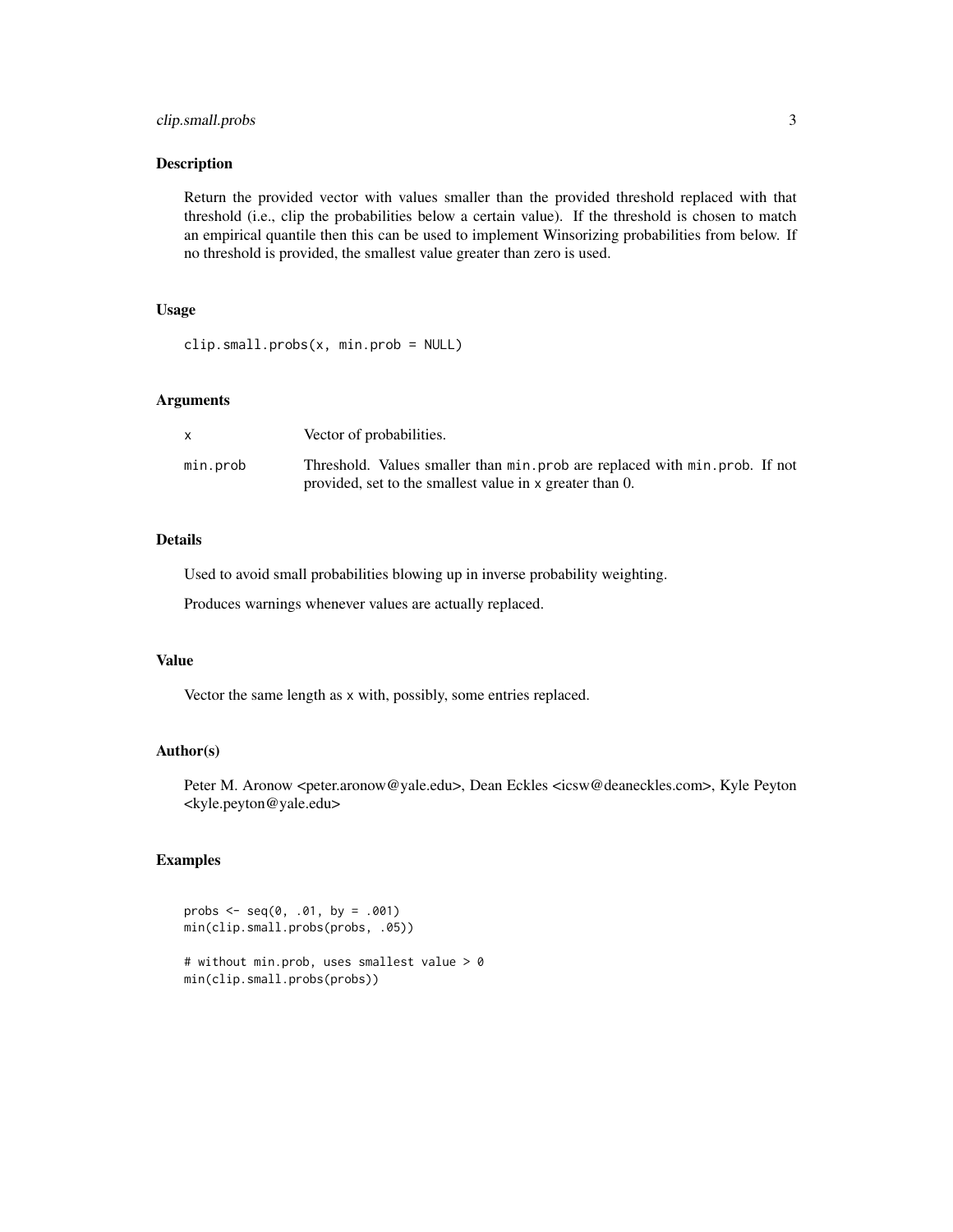#### clip.small.probs 3

#### Description

Return the provided vector with values smaller than the provided threshold replaced with that threshold (i.e., clip the probabilities below a certain value). If the threshold is chosen to match an empirical quantile then this can be used to implement Winsorizing probabilities from below. If no threshold is provided, the smallest value greater than zero is used.

#### Usage

```
clip.small.probs(x, min.prob = NULL)
```
#### Arguments

|          | Vector of probabilities.                                                                                                                 |  |
|----------|------------------------------------------------------------------------------------------------------------------------------------------|--|
| min.prob | Threshold. Values smaller than min. prob are replaced with min. prob. If not<br>provided, set to the smallest value in x greater than 0. |  |

#### Details

Used to avoid small probabilities blowing up in inverse probability weighting.

Produces warnings whenever values are actually replaced.

#### Value

Vector the same length as x with, possibly, some entries replaced.

#### Author(s)

Peter M. Aronow <peter.aronow@yale.edu>, Dean Eckles <icsw@deaneckles.com>, Kyle Peyton <kyle.peyton@yale.edu>

#### Examples

```
probs \leq - seq(0, .01, by = .001)
min(clip.small.probs(probs, .05))
# without min.prob, uses smallest value > 0
min(clip.small.probs(probs))
```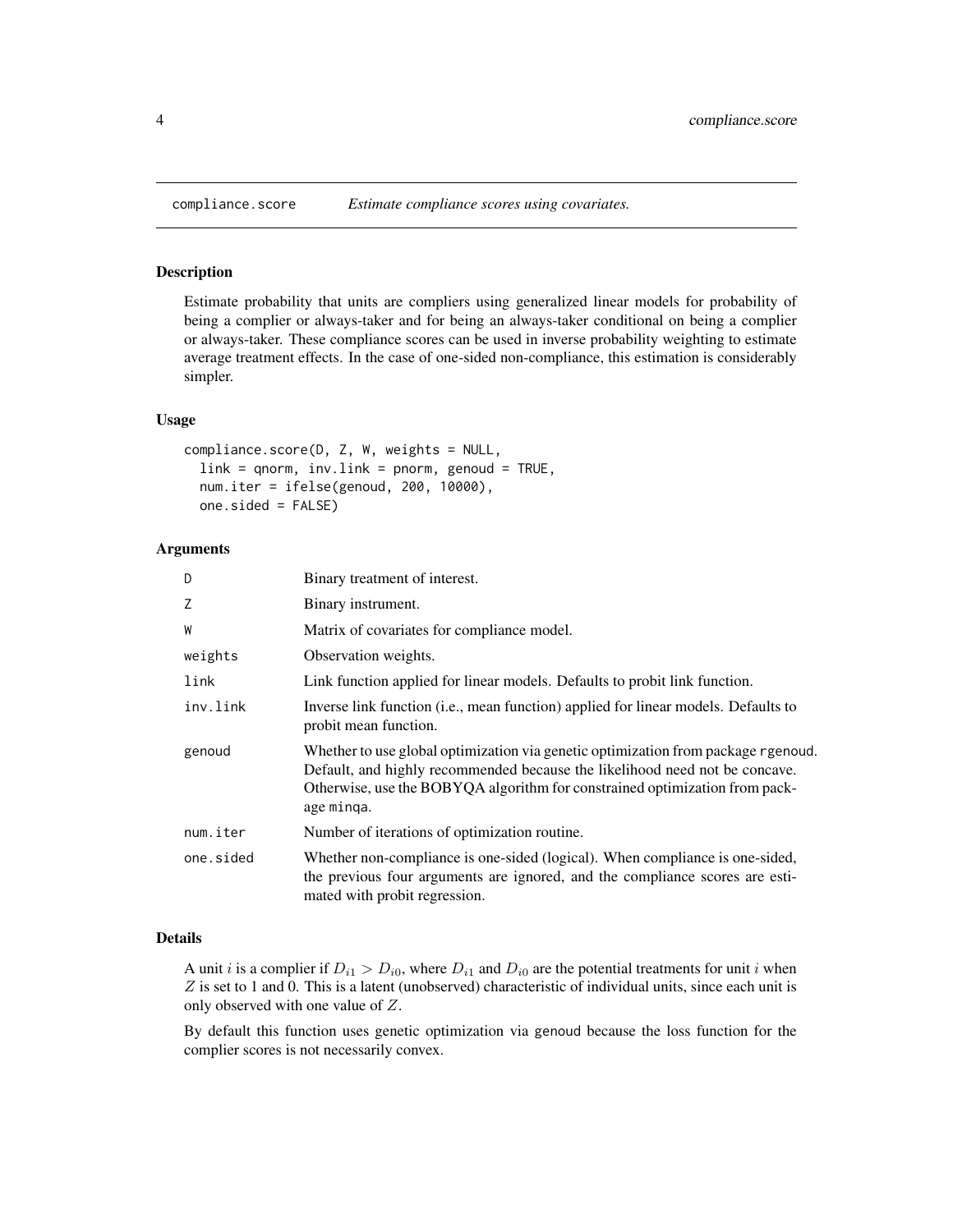#### Description

Estimate probability that units are compliers using generalized linear models for probability of being a complier or always-taker and for being an always-taker conditional on being a complier or always-taker. These compliance scores can be used in inverse probability weighting to estimate average treatment effects. In the case of one-sided non-compliance, this estimation is considerably simpler.

#### Usage

```
compliance.score(D, Z, W, weights = NULL,
  link = qnorm, inv.link = ponorm, genoud = TRUE,num.iter = ifelse(genoud, 200, 10000),
  one.sided = FALSE)
```
#### Arguments

| D         | Binary treatment of interest.                                                                                                                                                                                                                                 |
|-----------|---------------------------------------------------------------------------------------------------------------------------------------------------------------------------------------------------------------------------------------------------------------|
| Z         | Binary instrument.                                                                                                                                                                                                                                            |
| W         | Matrix of covariates for compliance model.                                                                                                                                                                                                                    |
| weights   | Observation weights.                                                                                                                                                                                                                                          |
| link      | Link function applied for linear models. Defaults to probit link function.                                                                                                                                                                                    |
| inv.link  | Inverse link function (i.e., mean function) applied for linear models. Defaults to<br>probit mean function.                                                                                                                                                   |
| genoud    | Whether to use global optimization via genetic optimization from package rgenoud.<br>Default, and highly recommended because the likelihood need not be concave.<br>Otherwise, use the BOBYQA algorithm for constrained optimization from pack-<br>age minga. |
| num.iter  | Number of iterations of optimization routine.                                                                                                                                                                                                                 |
| one.sided | Whether non-compliance is one-sided (logical). When compliance is one-sided,<br>the previous four arguments are ignored, and the compliance scores are esti-<br>mated with probit regression.                                                                 |

#### Details

A unit i is a complier if  $D_{i1} > D_{i0}$ , where  $D_{i1}$  and  $D_{i0}$  are the potential treatments for unit i when  $Z$  is set to 1 and 0. This is a latent (unobserved) characteristic of individual units, since each unit is only observed with one value of Z.

By default this function uses genetic optimization via genoud because the loss function for the complier scores is not necessarily convex.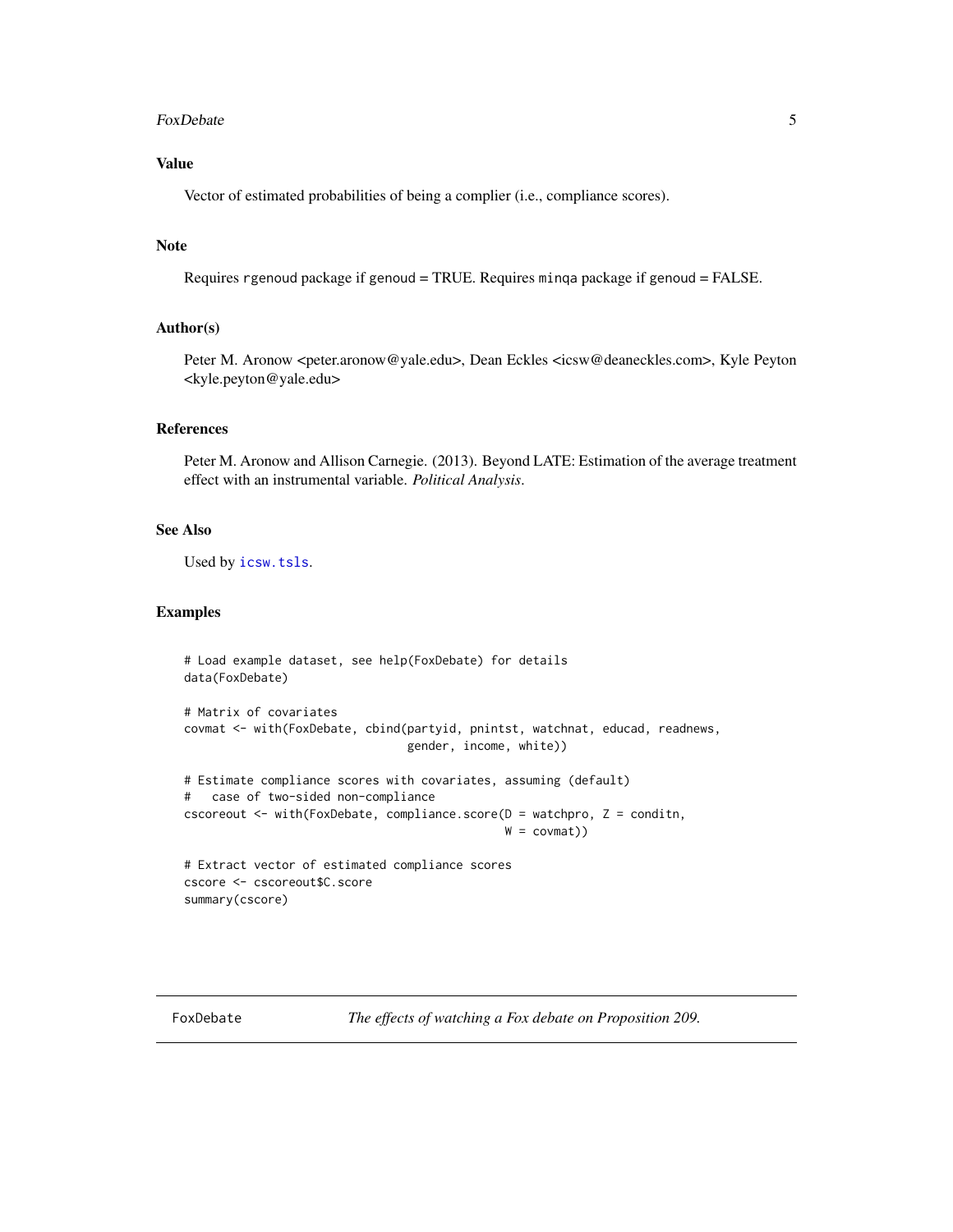#### <span id="page-4-0"></span>FoxDebate 5

#### Value

Vector of estimated probabilities of being a complier (i.e., compliance scores).

#### Note

```
Requires rgenoud package if genoud = TRUE. Requires minqa package if genoud = FALSE.
```
#### Author(s)

Peter M. Aronow <peter.aronow@yale.edu>, Dean Eckles <icsw@deaneckles.com>, Kyle Peyton <kyle.peyton@yale.edu>

#### References

Peter M. Aronow and Allison Carnegie. (2013). Beyond LATE: Estimation of the average treatment effect with an instrumental variable. *Political Analysis*.

#### See Also

Used by [icsw.tsls](#page-6-1).

#### Examples

```
# Load example dataset, see help(FoxDebate) for details
data(FoxDebate)
# Matrix of covariates
covmat <- with(FoxDebate, cbind(partyid, pnintst, watchnat, educad, readnews,
                                gender, income, white))
# Estimate compliance scores with covariates, assuming (default)
# case of two-sided non-compliance
cscoreout <- with(FoxDebate, compliance.score(D = watchpro, Z = conditn,
                                               W = \text{covmat})# Extract vector of estimated compliance scores
cscore <- cscoreout$C.score
summary(cscore)
```
FoxDebate *The effects of watching a Fox debate on Proposition 209.*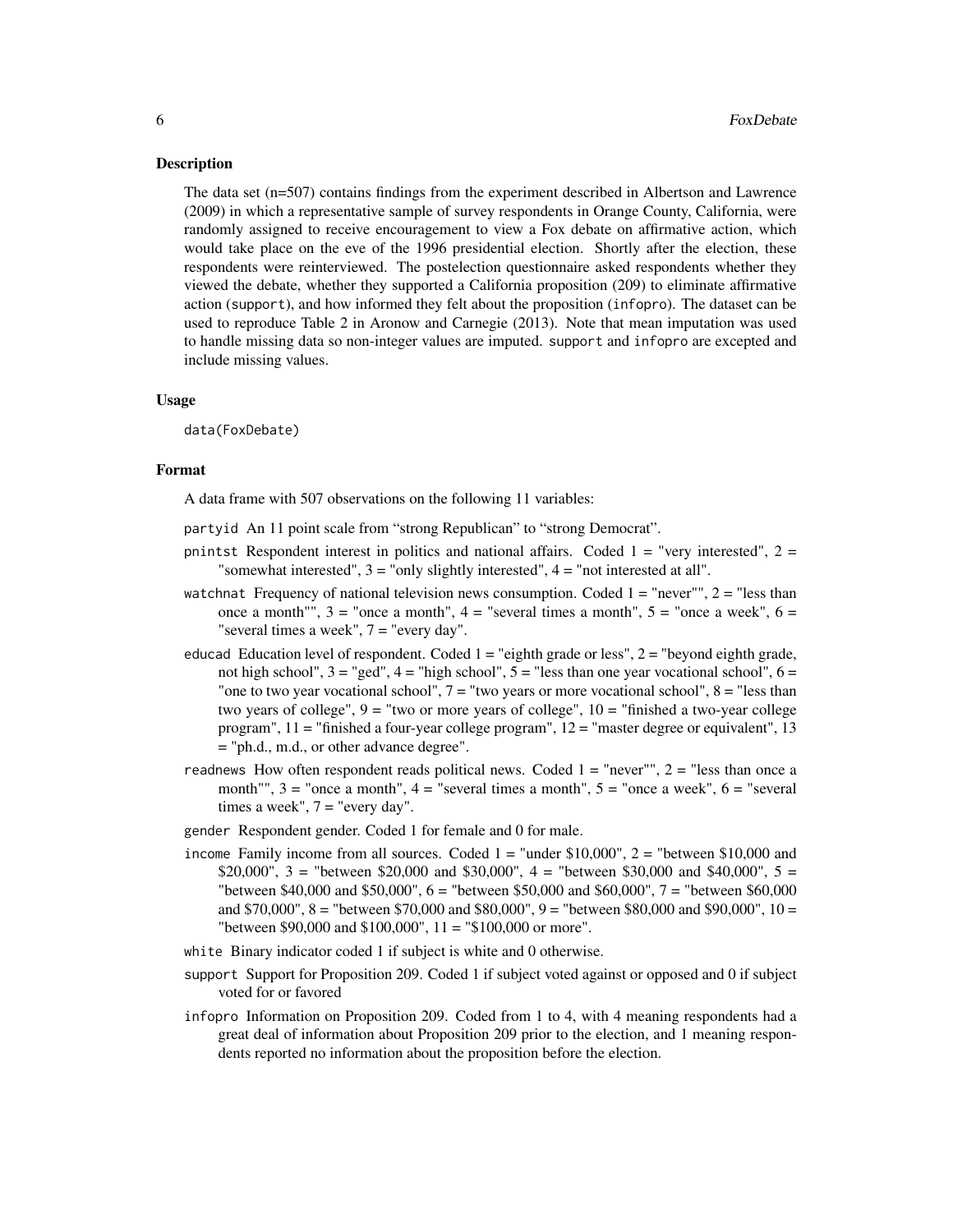#### Description

The data set (n=507) contains findings from the experiment described in Albertson and Lawrence (2009) in which a representative sample of survey respondents in Orange County, California, were randomly assigned to receive encouragement to view a Fox debate on affirmative action, which would take place on the eve of the 1996 presidential election. Shortly after the election, these respondents were reinterviewed. The postelection questionnaire asked respondents whether they viewed the debate, whether they supported a California proposition (209) to eliminate affirmative action (support), and how informed they felt about the proposition (infopro). The dataset can be used to reproduce Table 2 in Aronow and Carnegie (2013). Note that mean imputation was used to handle missing data so non-integer values are imputed. support and infopro are excepted and include missing values.

#### Usage

data(FoxDebate)

#### Format

A data frame with 507 observations on the following 11 variables:

- partyid An 11 point scale from "strong Republican" to "strong Democrat".
- pnintst Respondent interest in politics and national affairs. Coded  $1 =$  "very interested",  $2 =$ "somewhat interested", 3 = "only slightly interested", 4 = "not interested at all".
- watchnat Frequency of national television news consumption. Coded  $1 =$  "never"",  $2 =$  "less than once a month"",  $3 =$  "once a month",  $4 =$  "several times a month",  $5 =$  "once a week",  $6 =$ "several times a week", 7 = "every day".
- educad Education level of respondent. Coded  $1 =$  "eighth grade or less",  $2 =$  "beyond eighth grade, not high school",  $3 =$  "ged",  $4 =$  "high school",  $5 =$  "less than one year vocational school",  $6 =$ "one to two year vocational school",  $7 =$  "two years or more vocational school",  $8 =$  "less than two years of college",  $9 =$  "two or more years of college",  $10 =$  "finished a two-year college" program",  $11 =$  "finished a four-year college program",  $12 =$  "master degree or equivalent", 13 = "ph.d., m.d., or other advance degree".
- readnews How often respondent reads political news. Coded  $1 =$  "never"",  $2 =$  "less than once a month"",  $3 =$  "once a month",  $4 =$  "several times a month",  $5 =$  "once a week",  $6 =$  "several times a week",  $7 =$  "every day".
- gender Respondent gender. Coded 1 for female and 0 for male.
- income Family income from all sources. Coded  $1 =$  "under \$10,000",  $2 =$  "between \$10,000 and  $$20,000$ ", 3 = "between \$20,000 and \$30,000", 4 = "between \$30,000 and \$40,000", 5 = "between \$40,000 and \$50,000", 6 = "between \$50,000 and \$60,000", 7 = "between \$60,000 and \$70,000", 8 = "between \$70,000 and \$80,000", 9 = "between \$80,000 and \$90,000", 10 = "between \$90,000 and \$100,000", 11 = "\$100,000 or more".
- white Binary indicator coded 1 if subject is white and 0 otherwise.
- support Support for Proposition 209. Coded 1 if subject voted against or opposed and 0 if subject voted for or favored
- infopro Information on Proposition 209. Coded from 1 to 4, with 4 meaning respondents had a great deal of information about Proposition 209 prior to the election, and 1 meaning respondents reported no information about the proposition before the election.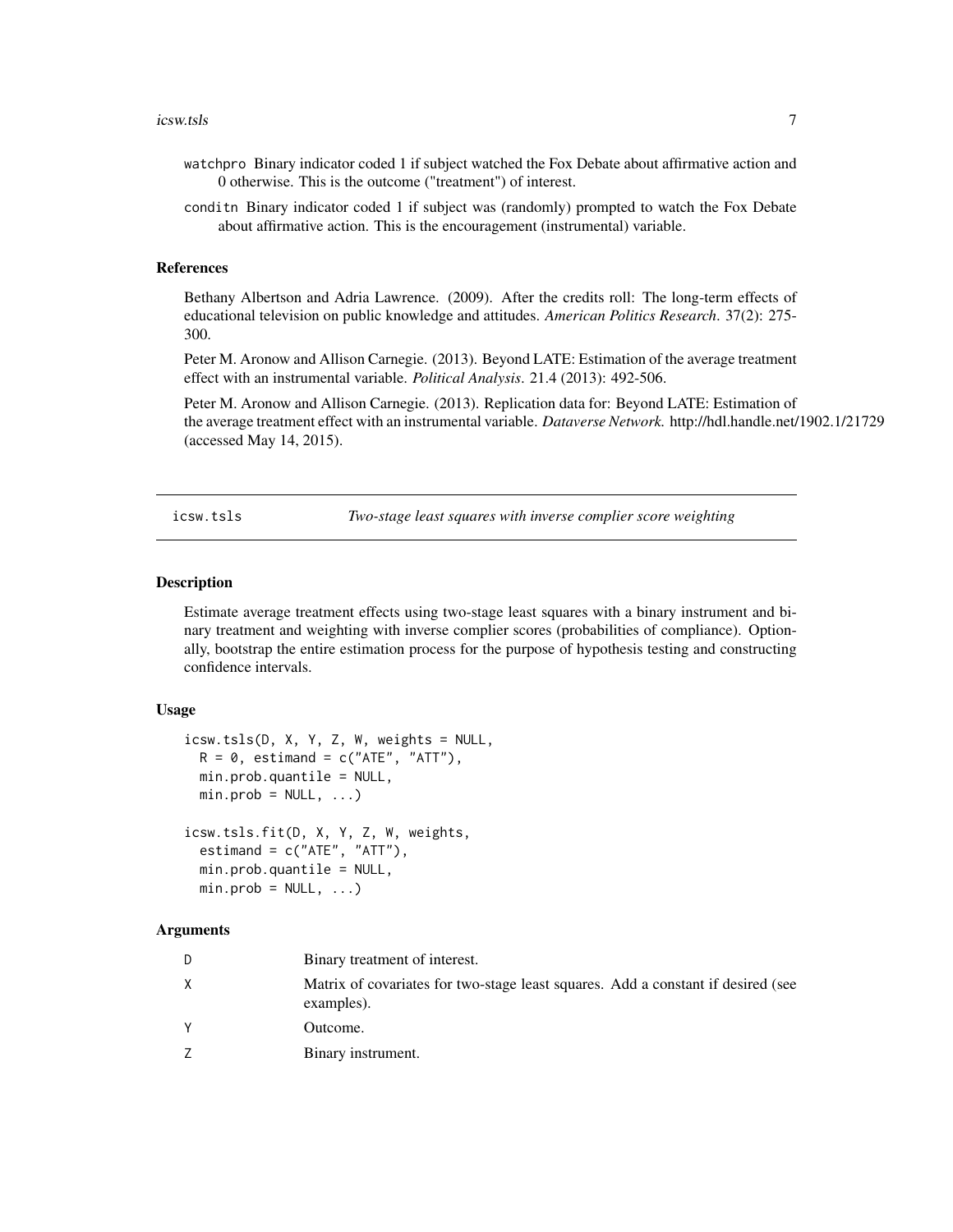#### <span id="page-6-0"></span>icsw.tsls 7

- watchpro Binary indicator coded 1 if subject watched the Fox Debate about affirmative action and 0 otherwise. This is the outcome ("treatment") of interest.
- conditn Binary indicator coded 1 if subject was (randomly) prompted to watch the Fox Debate about affirmative action. This is the encouragement (instrumental) variable.

#### References

Bethany Albertson and Adria Lawrence. (2009). After the credits roll: The long-term effects of educational television on public knowledge and attitudes. *American Politics Research*. 37(2): 275- 300.

Peter M. Aronow and Allison Carnegie. (2013). Beyond LATE: Estimation of the average treatment effect with an instrumental variable. *Political Analysis*. 21.4 (2013): 492-506.

Peter M. Aronow and Allison Carnegie. (2013). Replication data for: Beyond LATE: Estimation of the average treatment effect with an instrumental variable. *Dataverse Network.* http://hdl.handle.net/1902.1/21729 (accessed May 14, 2015).

<span id="page-6-1"></span>icsw.tsls *Two-stage least squares with inverse complier score weighting*

#### Description

Estimate average treatment effects using two-stage least squares with a binary instrument and binary treatment and weighting with inverse complier scores (probabilities of compliance). Optionally, bootstrap the entire estimation process for the purpose of hypothesis testing and constructing confidence intervals.

#### Usage

```
icsw.tsls(D, X, Y, Z, W, weights = NULL,
 R = 0, estimand = c("ATE", "ATT"),
 min.prob.quantile = NULL,
 min.prob = NULL, ...)icsw.tsls.fit(D, X, Y, Z, W, weights,
  estimand = c("ATE", "ATT"),
 min.prob.quantile = NULL,
 min.prob = NULL, ...
```
#### Arguments

| D | Binary treatment of interest.                                                                  |
|---|------------------------------------------------------------------------------------------------|
| X | Matrix of covariates for two-stage least squares. Add a constant if desired (see<br>examples). |
| Y | Outcome.                                                                                       |
| 7 | Binary instrument.                                                                             |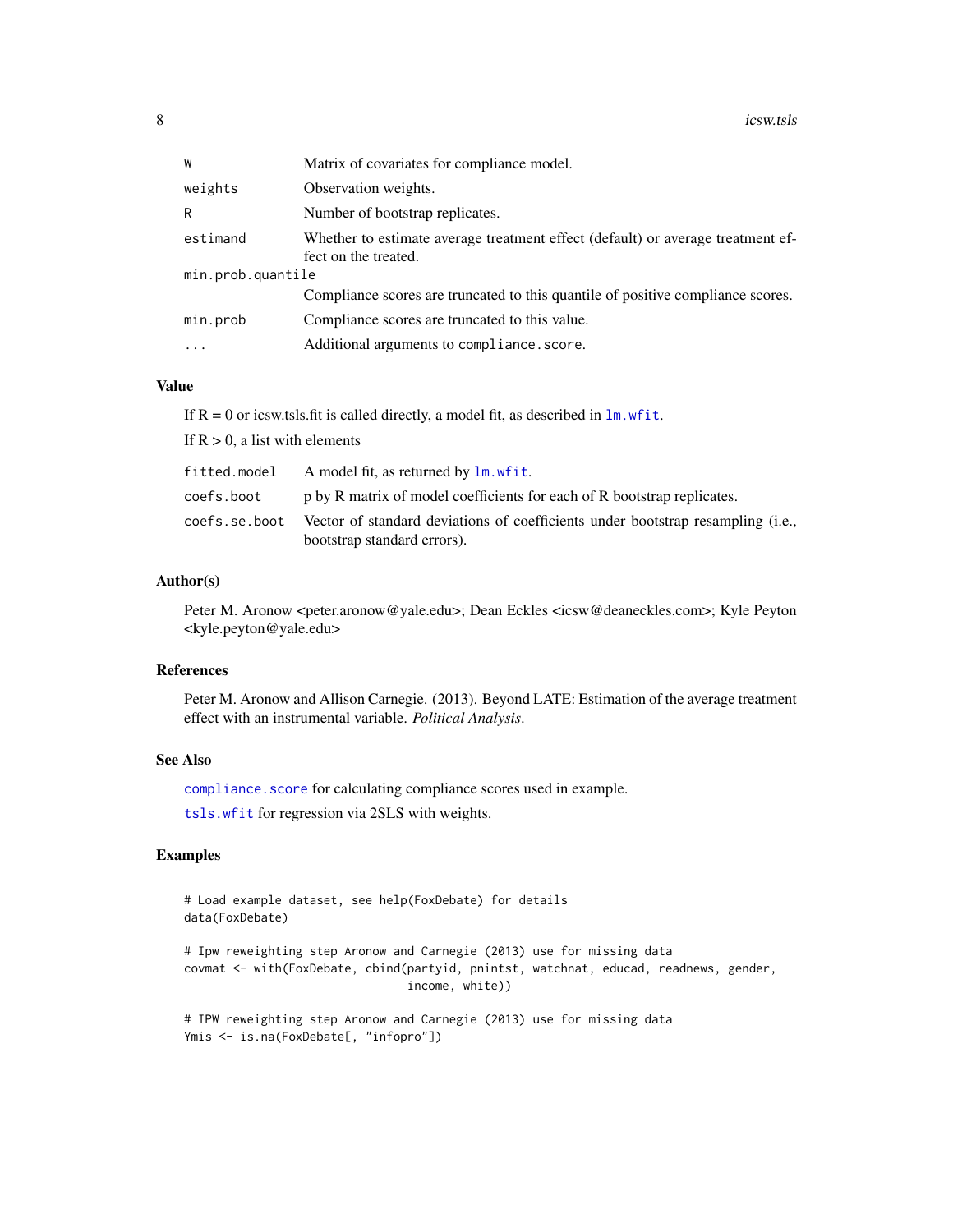<span id="page-7-0"></span>

| W                 | Matrix of covariates for compliance model.                                                              |  |  |  |  |
|-------------------|---------------------------------------------------------------------------------------------------------|--|--|--|--|
| weights           | Observation weights.                                                                                    |  |  |  |  |
| R                 | Number of bootstrap replicates.                                                                         |  |  |  |  |
| estimand          | Whether to estimate average treatment effect (default) or average treatment ef-<br>fect on the treated. |  |  |  |  |
| min.prob.quantile |                                                                                                         |  |  |  |  |
|                   | Compliance scores are truncated to this quantile of positive compliance scores.                         |  |  |  |  |
| min.prob          | Compliance scores are truncated to this value.                                                          |  |  |  |  |
| $\cdots$          | Additional arguments to compliance. score.                                                              |  |  |  |  |

#### Value

If  $R = 0$  or icsw.tsls.fit is called directly, a model fit, as described in  $\text{lm.}$  wfit.

If  $R > 0$ , a list with elements

| fitted.model  | A model fit, as returned by lm. wfit.                                                                          |
|---------------|----------------------------------------------------------------------------------------------------------------|
| coefs.boot    | p by R matrix of model coefficients for each of R bootstrap replicates.                                        |
| coefs.se.boot | Vector of standard deviations of coefficients under bootstrap resampling (i.e.,<br>bootstrap standard errors). |

#### Author(s)

Peter M. Aronow <peter.aronow@yale.edu>; Dean Eckles <icsw@deaneckles.com>; Kyle Peyton <kyle.peyton@yale.edu>

#### References

Peter M. Aronow and Allison Carnegie. (2013). Beyond LATE: Estimation of the average treatment effect with an instrumental variable. *Political Analysis*.

#### See Also

compliance. score for calculating compliance scores used in example.

[tsls.wfit](#page-8-1) for regression via 2SLS with weights.

#### Examples

```
# Load example dataset, see help(FoxDebate) for details
data(FoxDebate)
# Ipw reweighting step Aronow and Carnegie (2013) use for missing data
```
covmat <- with(FoxDebate, cbind(partyid, pnintst, watchnat, educad, readnews, gender, income, white))

```
# IPW reweighting step Aronow and Carnegie (2013) use for missing data
Ymis <- is.na(FoxDebate[, "infopro"])
```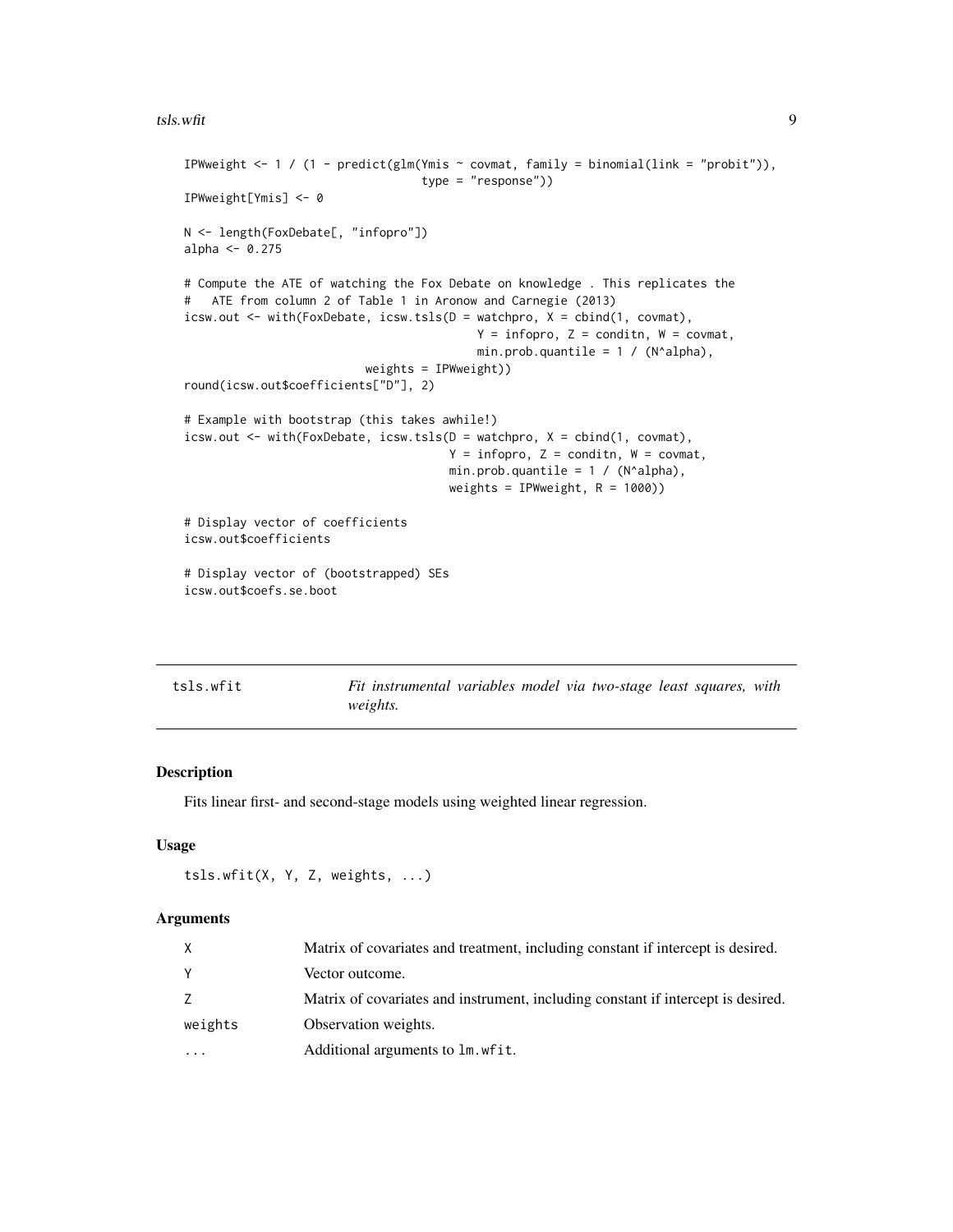#### <span id="page-8-0"></span>tsls.wfit 9

```
IPWweight <- 1 / (1 - predict(glm(Ymis \sim covmat, family = binomial(link = "probit")),
                                  type = "response"))
IPWweight[Ymis] <- 0
N <- length(FoxDebate[, "infopro"])
alpha \leq -0.275# Compute the ATE of watching the Fox Debate on knowledge . This replicates the
# ATE from column 2 of Table 1 in Aronow and Carnegie (2013)
icsw.out <- with(FoxDebate, icsw.tsls(D = watchpro, X = cbind(1, covmat),
                                           Y = infopro, Z = condition, W = covmat,min.prob.quantile = 1 / (N^alpha),
                          weights = IPWweight))
round(icsw.out$coefficients["D"], 2)
# Example with bootstrap (this takes awhile!)
icsw.out <- with(FoxDebate, icsw.tsls(D = watchpro, X = cbind(1, covmat),
                                      Y = infopro, Z = condition, W = covmat,min.prob.quantile = 1 / (N^{\text{alpha}}),
                                      weights = IPWweight, R = 1000)
# Display vector of coefficients
icsw.out$coefficients
# Display vector of (bootstrapped) SEs
icsw.out$coefs.se.boot
```
<span id="page-8-1"></span>

| tsls.wfit | Fit instrumental variables model via two-stage least squares, with |  |  |  |  |
|-----------|--------------------------------------------------------------------|--|--|--|--|
|           | <i>weights.</i>                                                    |  |  |  |  |

#### Description

Fits linear first- and second-stage models using weighted linear regression.

#### Usage

```
tsls.wfit(X, Y, Z, weights, ...)
```
#### **Arguments**

|          | Matrix of covariates and treatment, including constant if intercept is desired.  |
|----------|----------------------------------------------------------------------------------|
| Y        | Vector outcome.                                                                  |
|          | Matrix of covariates and instrument, including constant if intercept is desired. |
| weights  | Observation weights.                                                             |
| $\ddots$ | Additional arguments to lm. wfit.                                                |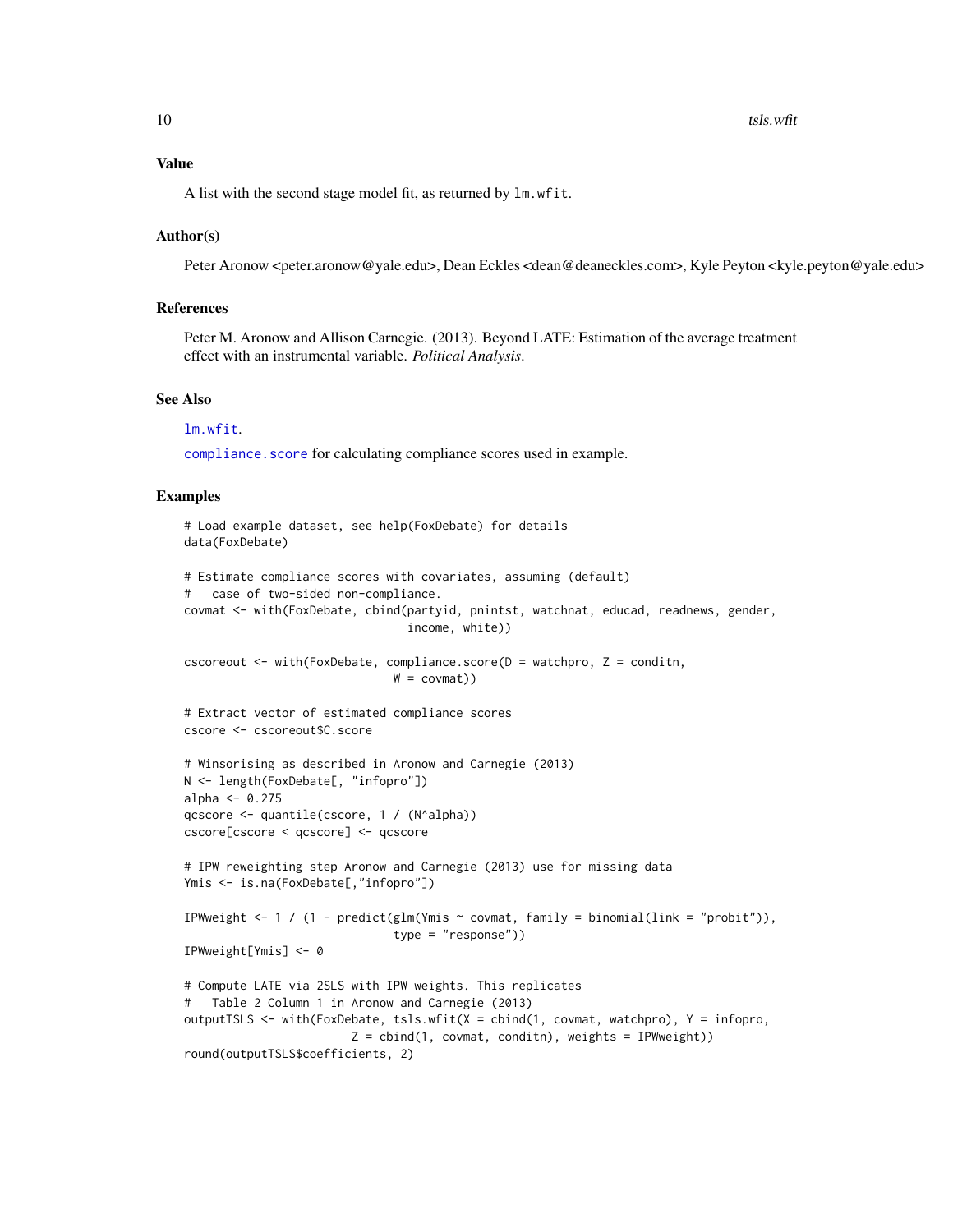#### <span id="page-9-0"></span>Value

A list with the second stage model fit, as returned by lm.wfit.

#### Author(s)

Peter Aronow <peter.aronow@yale.edu>, Dean Eckles <dean@deaneckles.com>, Kyle Peyton <kyle.peyton@yale.edu>

#### References

Peter M. Aronow and Allison Carnegie. (2013). Beyond LATE: Estimation of the average treatment effect with an instrumental variable. *Political Analysis*.

#### See Also

[lm.wfit](#page-0-0).

compliance. score for calculating compliance scores used in example.

#### Examples

```
# Load example dataset, see help(FoxDebate) for details
data(FoxDebate)
# Estimate compliance scores with covariates, assuming (default)
# case of two-sided non-compliance.
covmat <- with(FoxDebate, cbind(partyid, pnintst, watchnat, educad, readnews, gender,
                                 income, white))
cscoreout \le- with(FoxDebate, compliance.score(D = watchpro, Z = conditn,
                               W = \text{covmat})# Extract vector of estimated compliance scores
cscore <- cscoreout$C.score
# Winsorising as described in Aronow and Carnegie (2013)
N <- length(FoxDebate[, "infopro"])
alpha <- 0.275
qcscore <- quantile(cscore, 1 / (N^alpha))
cscore[cscore < qcscore] <- qcscore
# IPW reweighting step Aronow and Carnegie (2013) use for missing data
Ymis <- is.na(FoxDebate[,"infopro"])
IPWweight <- 1 / (1 - predict(glm(Ymis \sim covmat, family = binomial(link = "probit")),
                               type = "response"))
IPWweight[Ymis] <- 0
# Compute LATE via 2SLS with IPW weights. This replicates
# Table 2 Column 1 in Aronow and Carnegie (2013)
outputTSLS <- with(FoxDebate, tsls.wfit(X = cbind(1, covmat, watchpro), Y = infopro,
                         Z = \text{cbind}(1, \text{covmat}, \text{condit}), \text{weights} = \text{IPWweight})round(outputTSLS$coefficients, 2)
```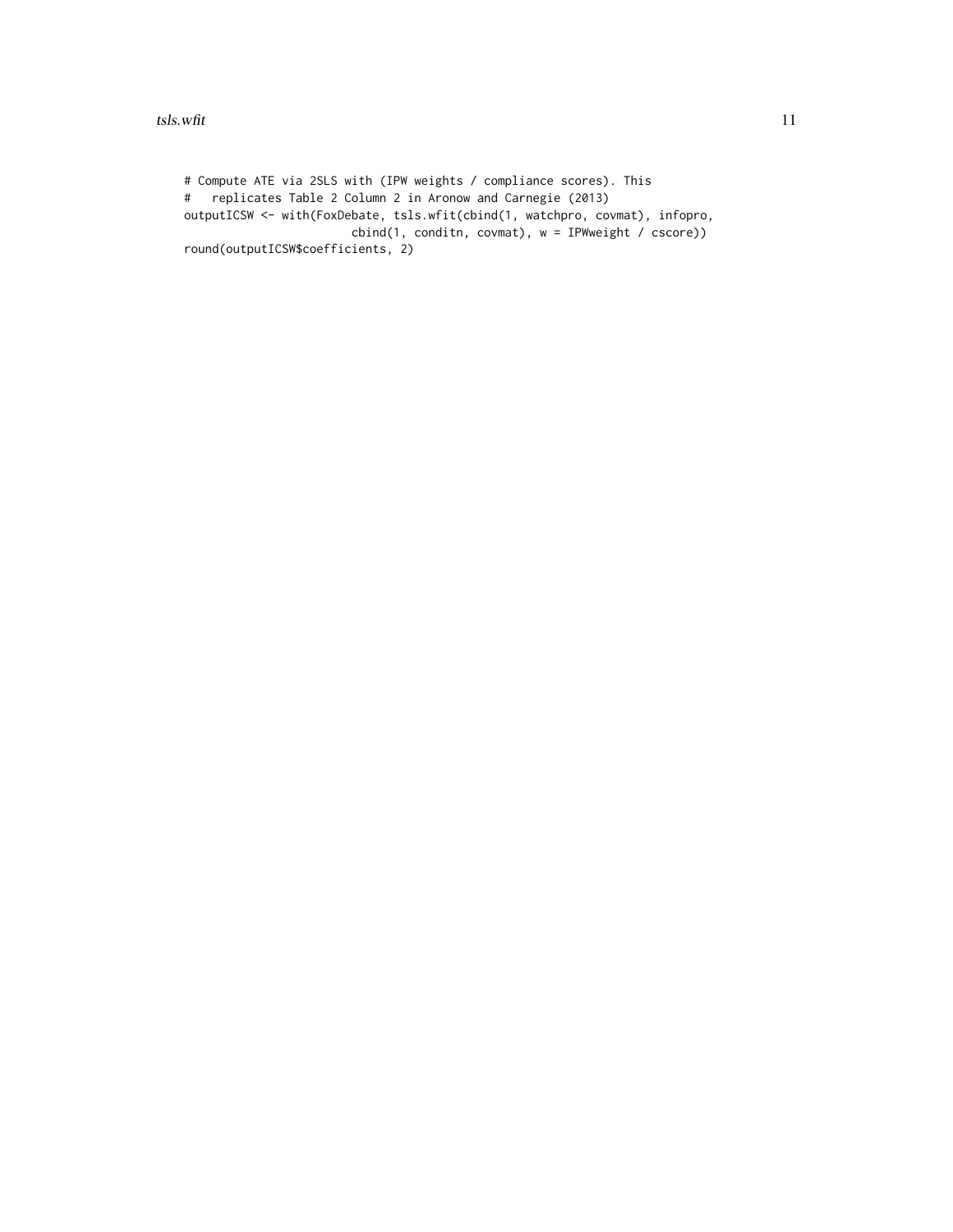# Compute ATE via 2SLS with (IPW weights / compliance scores). This # replicates Table 2 Column 2 in Aronow and Carnegie (2013) outputICSW <- with(FoxDebate, tsls.wfit(cbind(1, watchpro, covmat), infopro, cbind(1, conditn, covmat), w = IPWweight / cscore)) round(outputICSW\$coefficients, 2)